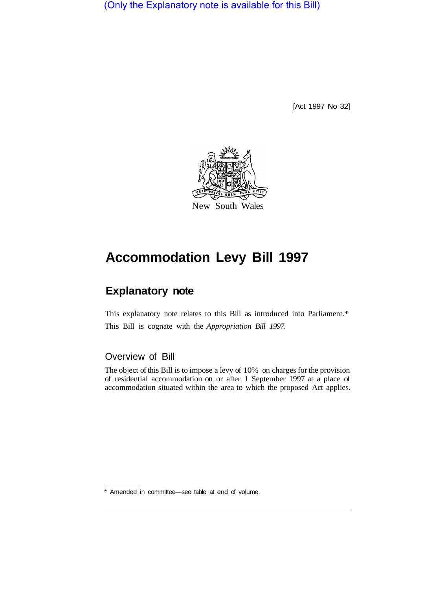(Only the Explanatory note is available for this Bill)

[Act 1997 No 32]



# **Accommodation Levy Bill 1997**

# **Explanatory note**

This explanatory note relates to this Bill as introduced into Parliament.\* This Bill is cognate with the *Appropriation Bill 1997.* 

### Overview of Bill

The object of this Bill is to impose a levy of 10% on charges for the provision of residential accommodation on or after 1 September 1997 at a place of accommodation situated within the area to which the proposed Act applies.

\* Amended in committee—see table at end of volume.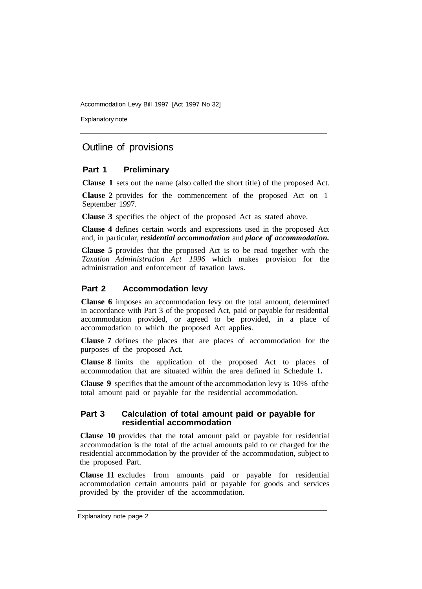Accommodation Levy Bill 1997 [Act 1997 No 32]

Explanatory note

## Outline of provisions

#### **Part 1 Preliminary**

**Clause 1** sets out the name (also called the short title) of the proposed Act.

**Clause 2** provides for the commencement of the proposed Act on 1 September 1997.

**Clause 3** specifies the object of the proposed Act as stated above.

**Clause 4** defines certain words and expressions used in the proposed Act and, in particular, *residential accommodation* and *place of accommodation.* 

**Clause 5** provides that the proposed Act is to be read together with the *Taxation Administration Act 1996* which makes provision for the administration and enforcement of taxation laws.

#### **Part 2 Accommodation levy**

**Clause 6** imposes an accommodation levy on the total amount, determined in accordance with Part 3 of the proposed Act, paid or payable for residential accommodation provided, or agreed to be provided, in a place of accommodation to which the proposed Act applies.

**Clause 7** defines the places that are places of accommodation for the purposes of the proposed Act.

**Clause 8** limits the application of the proposed Act to places of accommodation that are situated within the area defined in Schedule **1.** 

**Clause 9** specifies that the amount of the accommodation levy is 10% of the total amount paid or payable for the residential accommodation.

#### **Part 3 Calculation of total amount paid or payable for residential accommodation**

**Clause 10** provides that the total amount paid or payable for residential accommodation is the total of the actual amounts paid to or charged for the residential accommodation by the provider of the accommodation, subject to the proposed Part.

**Clause 11** excludes from amounts paid or payable for residential accommodation certain amounts paid or payable for goods and services provided by the provider of the accommodation.